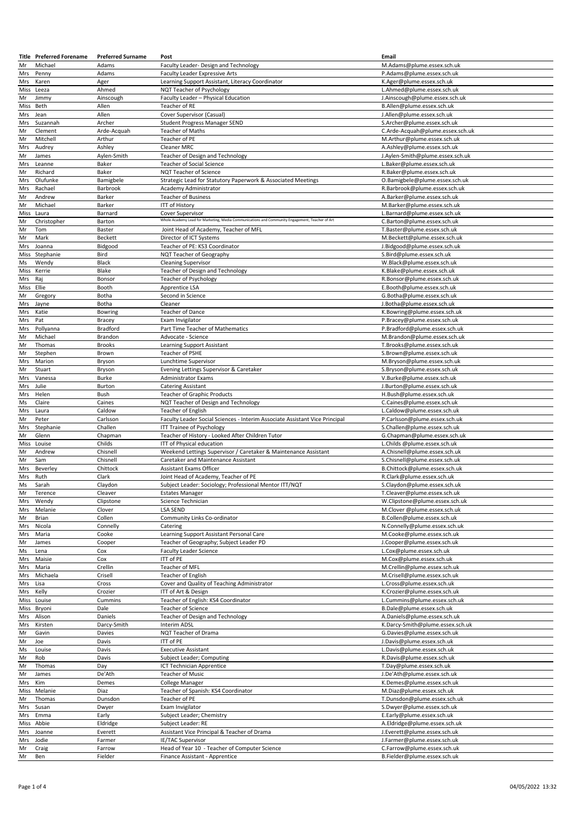|            | <b>Title</b> Preferred Forename | <b>Preferred Surname</b> | Post                                                                                            | Email                                                          |
|------------|---------------------------------|--------------------------|-------------------------------------------------------------------------------------------------|----------------------------------------------------------------|
| Mr         | Michael                         | Adams                    | Faculty Leader- Design and Technology                                                           | M.Adams@plume.essex.sch.uk                                     |
| Mrs        | Penny                           | Adams                    | Faculty Leader Expressive Arts                                                                  | P.Adams@plume.essex.sch.uk                                     |
| Mrs        | Karen                           | Ager                     | Learning Support Assistant, Literacy Coordinator                                                | K.Ager@plume.essex.sch.uk                                      |
| Miss       | Leeza                           | Ahmed                    | NQT Teacher of Psychology                                                                       | L.Ahmed@plume.essex.sch.uk                                     |
| Mr         | Jimmy                           | Ainscough                | Faculty Leader - Physical Education                                                             | J.Ainscough@plume.essex.sch.uk                                 |
| Miss       | Beth                            | Allen                    | Teacher of RE                                                                                   | B.Allen@plume.essex.sch.uk                                     |
| Mrs        | Jean                            | Allen                    | Cover Supervisor (Casual)                                                                       | J.Allen@plume.essex.sch.uk                                     |
| Mrs<br>Mr  | Suzannah                        | Archer                   | <b>Student Progress Manager SEND</b>                                                            | S.Archer@plume.essex.sch.uk                                    |
| Mr         | Clement<br>Mitchell             | Arde-Acquah              | <b>Teacher of Maths</b><br>Teacher of PE                                                        | C.Arde-Acquah@plume.essex.sch.uk                               |
| Mrs        | Audrey                          | Arthur<br>Ashley         | Cleaner MRC                                                                                     | M.Arthur@plume.essex.sch.uk<br>A.Ashley@plume.essex.sch.uk     |
| Mr         | James                           | Aylen-Smith              | Teacher of Design and Technology                                                                | J.Aylen-Smith@plume.essex.sch.uk                               |
| Mrs        | Leanne                          | Baker                    | Teacher of Social Science                                                                       | L.Baker@plume.essex.sch.uk                                     |
| Mr         | Richard                         | Baker                    | NQT Teacher of Science                                                                          | R.Baker@plume.essex.sch.uk                                     |
| Mrs        | Olufunke                        | Bamigbele                | Strategic Lead for Statutory Paperwork & Associated Meetings                                    | O.Bamigbele@plume.essex.sch.uk                                 |
| Mrs        | Rachael                         | Barbrook                 | Academy Administrator                                                                           | R.Barbrook@plume.essex.sch.uk                                  |
| Mr         | Andrew                          | Barker                   | <b>Teacher of Business</b>                                                                      | A.Barker@plume.essex.sch.uk                                    |
| Mr         | Michael                         | Barker                   | <b>ITT of History</b>                                                                           | M.Barker@plume.essex.sch.uk                                    |
| Miss       | Laura                           | Barnard                  | Cover Supervisor                                                                                | L.Barnard@plume.essex.sch.uk                                   |
| Mr         | Christopher                     | Barton                   | Whole Academy Lead for Marketing, Media Communications and Community Engagement, Teacher of Art | C.Barton@plume.essex.sch.uk                                    |
| Mr         | Tom                             | Baster                   | Joint Head of Academy, Teacher of MFL                                                           | T.Baster@plume.essex.sch.uk                                    |
| Mr         | Mark                            | <b>Beckett</b>           | Director of ICT Systems                                                                         | M.Beckett@plume.essex.sch.uk                                   |
| Mrs        | Joanna                          | Bidgood                  | Teacher of PE: KS3 Coordinator                                                                  | J.Bidgood@plume.essex.sch.uk                                   |
| Miss       | Stephanie                       | Bird                     | NQT Teacher of Geography                                                                        | S.Bird@plume.essex.sch.uk                                      |
| Ms         | Wendy                           | Black                    | <b>Cleaning Supervisor</b>                                                                      | W.Black@plume.essex.sch.uk                                     |
| Miss       | Kerrie                          | Blake                    | Teacher of Design and Technology                                                                | K.Blake@plume.essex.sch.uk                                     |
| Mrs        | Raj                             | Bonsor                   | Teacher of Psychology                                                                           | R.Bonsor@plume.essex.sch.uk                                    |
| Miss       | Ellie                           | Booth                    | Apprentice LSA                                                                                  | E.Booth@plume.essex.sch.uk                                     |
| Mr         | Gregory                         | Botha                    | Second in Science                                                                               | G.Botha@plume.essex.sch.uk                                     |
| Mrs        | Jayne                           | Botha                    | Cleaner                                                                                         | J.Botha@plume.essex.sch.uk                                     |
| Mrs<br>Mrs | Katie                           | <b>Bowring</b>           | Teacher of Dance                                                                                | K.Bowring@plume.essex.sch.uk                                   |
| Mrs        | Pat<br>Pollyanna                | Bracey<br>Bradford       | Exam Invigilator<br>Part Time Teacher of Mathematics                                            | P.Bracey@plume.essex.sch.uk<br>P.Bradford@plume.essex.sch.uk   |
| Mr         | Michael                         | Brandon                  | Advocate - Science                                                                              | M.Brandon@plume.essex.sch.uk                                   |
| Mr         | Thomas                          | <b>Brooks</b>            | Learning Support Assistant                                                                      | T.Brooks@plume.essex.sch.uk                                    |
| Mr         | Stephen                         | Brown                    | Teacher of PSHE                                                                                 | S.Brown@plume.essex.sch.uk                                     |
| Mrs        | Marion                          | Bryson                   | Lunchtime Supervisor                                                                            | M.Bryson@plume.essex.sch.uk                                    |
| Mr         | Stuart                          | Bryson                   | Evening Lettings Supervisor & Caretaker                                                         | S.Bryson@plume.essex.sch.uk                                    |
| Mrs        | Vanessa                         | Burke                    | <b>Administrator Exams</b>                                                                      | V.Burke@plume.essex.sch.uk                                     |
| Mrs        | Julie                           | Burton                   | <b>Catering Assistant</b>                                                                       | J.Burton@plume.essex.sch.uk                                    |
| Mrs        | Helen                           | Bush                     | Teacher of Graphic Products                                                                     | H.Bush@plume.essex.sch.uk                                      |
| Ms         | Claire                          | Caines                   | NQT Teacher of Design and Technology                                                            | C.Caines@plume.essex.sch.uk                                    |
| Mrs        | Laura                           | Caldow                   | Teacher of English                                                                              | L.Caldow@plume.essex.sch.uk                                    |
| Mr         | Peter                           | Carlsson                 | Faculty Leader Social Sciences - Interim Associate Assistant Vice Principal                     | P.Carlsson@plume.essex.sch.uk                                  |
| Mrs        | Stephanie                       | Challen                  | <b>ITT Trainee of Psychology</b>                                                                | S.Challen@plume.essex.sch.uk                                   |
| Mr         | Glenn                           | Chapman                  | Teacher of History - Looked After Children Tutor                                                | G.Chapman@plume.essex.sch.uk                                   |
| Miss       | Louise                          | Childs                   | ITT of Physical education                                                                       | L.Childs @plume.essex.sch.uk                                   |
| Mr         | Andrew                          | Chisnell                 | Weekend Lettings Supervisor / Caretaker & Maintenance Assistant                                 | A.Chisnell@plume.essex.sch.uk                                  |
| Mr         | Sam                             | Chisnell                 | Caretaker and Maintenance Assistant                                                             | S.Chisnell@plume.essex.sch.uk                                  |
| Mrs        | Beverley                        | Chittock                 | Assistant Exams Officer                                                                         | B.Chittock@plume.essex.sch.uk                                  |
| Mrs        | Ruth                            | Clark                    | Joint Head of Academy, Teacher of PE                                                            | R.Clark@plume.essex.sch.uk                                     |
| Ms         | Sarah                           | Claydon                  | Subject Leader: Sociology; Professional Mentor ITT/NQT                                          | S.Claydon@plume.essex.sch.uk                                   |
| Mr<br>Mrs  | Terence<br>Wendy                | Cleaver<br>Clipstone     | <b>Estates Manager</b><br>Science Technician                                                    | T.Cleaver@plume.essex.sch.uk<br>W.Clipstone@plume.essex.sch.uk |
| Mrs        | Melanie                         | Clover                   | <b>LSA SEND</b>                                                                                 | M.Clover @plume.essex.sch.uk                                   |
| Mr         | Brian                           | Collen                   | Community Links Co-ordinator                                                                    | B.Collen@plume.essex.sch.uk                                    |
| Mrs        | Nicola                          | Connelly                 | Catering                                                                                        | N.Connelly@plume.essex.sch.uk                                  |
| Mrs        | Maria                           | Cooke                    | Learning Support Assistant Personal Care                                                        | M.Cooke@plume.essex.sch.uk                                     |
| Mr         | James                           | Cooper                   | Teacher of Geography; Subject Leader PD                                                         | J.Cooper@plume.essex.sch.uk                                    |
| Ms         | Lena                            | Cox                      | <b>Faculty Leader Science</b>                                                                   | L.Cox@plume.essex.sch.uk                                       |
| Mrs        | Maisie                          | Cox                      | ITT of PE                                                                                       | M.Cox@plume.essex.sch.uk                                       |
| Mrs        | Maria                           | Crellin                  | Teacher of MFL                                                                                  | M.Crellin@plume.essex.sch.uk                                   |
| Mrs        | Michaela                        | Crisell                  | Teacher of English                                                                              | M.Crisell@plume.essex.sch.uk                                   |
| Mrs        | Lisa                            | Cross                    | Cover and Quality of Teaching Administrator                                                     | L.Cross@plume.essex.sch.uk                                     |
| Mrs        | Kelly                           | Crozier                  | ITT of Art & Design                                                                             | K.Crozier@plume.essex.sch.uk                                   |
| Miss       | Louise                          | Cummins                  | Teacher of English: KS4 Coordinator                                                             | L.Cummins@plume.essex.sch.uk                                   |
| Miss       | Bryoni                          | Dale                     | Teacher of Science                                                                              | B.Dale@plume.essex.sch.uk                                      |
| Mrs        | Alison                          | Daniels                  | Teacher of Design and Technology                                                                | A.Daniels@plume.essex.sch.uk                                   |
| Mrs        | Kirsten                         | Darcy-Smith              | Interim ADSL                                                                                    | K.Darcy-Smith@plume.essex.sch.uk                               |
| Mr         | Gavin                           | Davies                   | NQT Teacher of Drama                                                                            | G.Davies@plume.essex.sch.uk                                    |
| Mr<br>Ms   | Joe<br>Louise                   | Davis<br>Davis           | ITT of PE<br><b>Executive Assistant</b>                                                         | J.Davis@plume.essex.sch.uk<br>L.Davis@plume.essex.sch.uk       |
| Mr         | Rob                             | Davis                    | Subject Leader; Computing                                                                       | R.Davis@plume.essex.sch.uk                                     |
| Mr         | Thomas                          | Day                      | ICT Technician Apprentice                                                                       | T.Day@plume.essex.sch.uk                                       |
| Mr         | James                           | De'Ath                   | Teacher of Music                                                                                | J.De'Ath@plume.essex.sch.uk                                    |
| Mrs        | Kim                             | Demes                    | College Manager                                                                                 | K.Demes@plume.essex.sch.uk                                     |
|            | Miss Melanie                    | Diaz                     | Teacher of Spanish: KS4 Coordinator                                                             | M.Diaz@plume.essex.sch.uk                                      |
| Mr         | Thomas                          | Dunsdon                  | Teacher of PE                                                                                   | T.Dunsdon@plume.essex.sch.uk                                   |
| Mrs        | Susan                           | Dwyer                    | Exam Invigilator                                                                                | S.Dwyer@plume.essex.sch.uk                                     |
| Mrs        | Emma                            | Early                    | Subject Leader; Chemistry                                                                       | E.Early@plume.essex.sch.uk                                     |
| Miss       | Abbie                           | Eldridge                 | Subject Leader: RE                                                                              | A.Eldridge@plume.essex.sch.uk                                  |
| Mrs        | Joanne                          | Everett                  | Assistant Vice Principal & Teacher of Drama                                                     | J.Everett@plume.essex.sch.uk                                   |
| Mrs        | Jodie                           | Farmer                   | IE/TAC Supervisor                                                                               | J.Farmer@plume.essex.sch.uk                                    |
| Mr         | Craig                           | Farrow                   | Head of Year 10 - Teacher of Computer Science                                                   | C.Farrow@plume.essex.sch.uk                                    |
|            | Ben                             | Fielder                  | Finance Assistant - Apprentice                                                                  | B.Fielder@plume.essex.sch.uk                                   |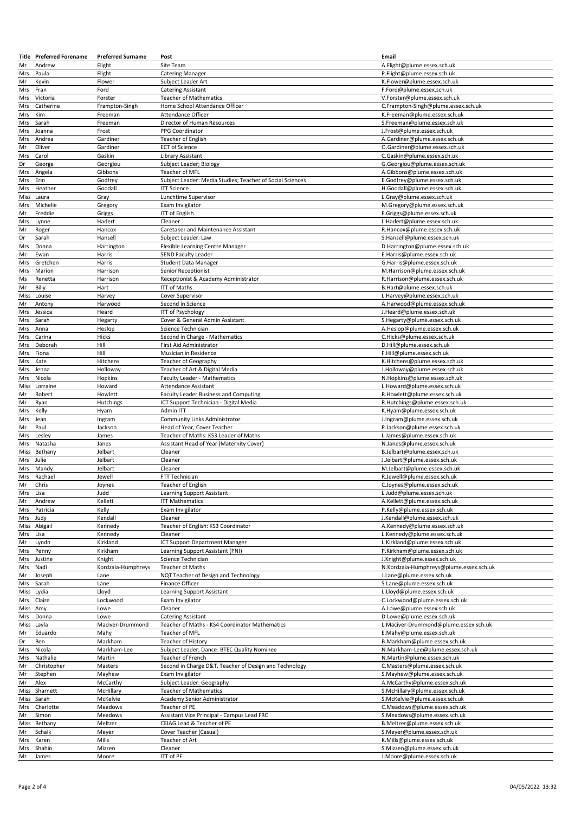|            | <b>Title</b> Preferred Forename | <b>Preferred Surname</b> | Post                                                      | Email                                                     |
|------------|---------------------------------|--------------------------|-----------------------------------------------------------|-----------------------------------------------------------|
| Mr         | Andrew                          | Flight                   | Site Team                                                 | A.Flight@plume.essex.sch.uk                               |
| Mrs        | Paula                           | Flight                   | <b>Catering Manager</b>                                   | P.Flight@plume.essex.sch.uk                               |
| Mr         | Kevin                           | Flower                   | Subject Leader Art                                        | K.Flower@plume.essex.sch.uk                               |
| Mrs        | Fran                            | Ford                     | <b>Catering Assistant</b>                                 | F.Ford@plume.essex.sch.uk                                 |
| Mrs        | Victoria                        | Forster                  | <b>Teacher of Mathematics</b>                             | V.Forster@plume.essex.sch.uk                              |
| Mrs        | Catherine                       | Frampton-Singh           | Home School Attendance Officer                            | C.Frampton-Singh@plume.essex.sch.uk                       |
| Mrs        | Kim                             | Freeman                  | Attendance Officer                                        | K.Freeman@plume.essex.sch.uk                              |
|            |                                 |                          |                                                           |                                                           |
| Mrs        | Sarah                           | Freeman                  | Director of Human Resources                               | S.Freeman@plume.essex.sch.uk                              |
| Mrs        | Joanna                          | Frost                    | PPG Coordinator                                           | J.Frost@plume.essex.sch.uk                                |
| Mrs        | Andrea                          | Gardiner                 | Teacher of English                                        | A.Gardiner@plume.essex.sch.uk                             |
| Mr         | Oliver                          | Gardiner                 | <b>ECT of Science</b>                                     | O.Gardiner@plume.essex.sch.uk                             |
| Mrs        | Carol                           | Gaskin                   | Library Assistant                                         | C.Gaskin@plume.essex.sch.uk                               |
| Dr         | George                          | Georgiou                 | Subject Leader; Biology                                   | G.Georgiou@plume.essex.sch.uk                             |
| Mrs        | Angela                          | Gibbons                  | Teacher of MFL                                            | A.Gibbons@plume.essex.sch.uk                              |
| Mrs        | Erin                            | Godfrey                  | Subject Leader: Media Studies; Teacher of Social Sciences | E.Godfrey@plume.essex.sch.uk                              |
| Mrs        | Heather                         | Goodall                  | <b>ITT Science</b>                                        | H.Goodall@plume.essex.sch.uk                              |
| Miss       | Laura                           | Gray                     | Lunchtime Supervisor                                      | L.Gray@plume.essex.sch.uk                                 |
| Mrs        | Michelle                        | Gregory                  | Exam Invigilator                                          | M.Gregory@plume.essex.sch.uk                              |
| Mr         | Freddie                         | Griggs                   | <b>ITT of English</b>                                     | F.Griggs@plume.essex.sch.uk                               |
|            |                                 |                          |                                                           |                                                           |
| Mrs        | Lynne                           | Hadert                   | Cleaner                                                   | L.Hadert@plume.essex.sch.uk                               |
| Mr         | Roger                           | Hancox                   | Caretaker and Maintenance Assistant                       | R.Hancox@plume.essex.sch.uk                               |
| Dr         | Sarah                           | Hansell                  | Subject Leader: Law                                       | S.Hansell@plume.essex.sch.uk                              |
| Mrs        | Donna                           | Harrington               | Flexible Learning Centre Manager                          | D.Harrington@plume.essex.sch.uk                           |
| Mr         | Ewan                            | Harris                   | <b>SEND Faculty Leader</b>                                | E.Harris@plume.essex.sch.uk                               |
| Mrs        | Gretchen                        | Harris                   | <b>Student Data Manager</b>                               | G.Harris@plume.essex.sch.uk                               |
| Mrs        | Marion                          | Harrison                 | Senior Receptionist                                       | M.Harrison@plume.essex.sch.uk                             |
| Ms         | Renetta                         | Harrison                 | Receptionist & Academy Administrator                      | R.Harrison@plume.essex.sch.uk                             |
| Mr         | Billy                           | Hart                     | ITT of Maths                                              | B.Hart@plume.essex.sch.uk                                 |
|            | Miss Louise                     | Harvey                   | Cover Supervisor                                          | L.Harvey@plume.essex.sch.uk                               |
| Mr         | Antony                          | Harwood                  | Second in Science                                         | A.Harwood@plume.essex.sch.uk                              |
| Mrs        | Jessica                         | Heard                    | ITT of Psychology                                         | J.Heard@plume.essex.sch.uk                                |
| Mrs        | Sarah                           |                          | Cover & General Admin Assistant                           | S.Hegarty@plume.essex.sch.uk                              |
|            |                                 | Hegarty                  |                                                           |                                                           |
| Mrs        | Anna                            | Heslop                   | Science Technician                                        | A.Heslop@plume.essex.sch.uk                               |
| Mrs        | Carina                          | Hicks                    | Second in Charge - Mathematics                            | C.Hicks@plume.essex.sch.uk                                |
| Mrs        | Deborah                         | Hill                     | First Aid Administrator                                   | D.Hill@plume.essex.sch.uk                                 |
| Mrs        | Fiona                           | Hill                     | Musician in Residence                                     | F.Hill@plume.essex.sch.uk                                 |
| Mrs        | Kate                            | Hitchens                 | Teacher of Geography                                      | K.Hitchens@plume.essex.sch.uk                             |
| Mrs        | Jenna                           | Holloway                 | Teacher of Art & Digital Media                            | J.Holloway@plume.essex.sch.uk                             |
| Mrs        | Nicola                          | Hopkins                  | Faculty Leader - Mathematics                              | N.Hopkins@plume.essex.sch.uk                              |
| Miss       | Lorraine                        | Howard                   | Attendance Assistant                                      | L.Howard@plume.essex.sch.uk                               |
| Mr         | Robert                          | Howlett                  | Faculty Leader Business and Computing                     | R.Howlett@plume.essex.sch.uk                              |
| Mr         | Ryan                            | Hutchings                | ICT Support Technician - Digital Media                    | R.Hutchings@plume.essex.sch.uk                            |
|            | Kelly                           | Hyam                     | Admin ITT                                                 | K.Hyam@plume.essex.sch.uk                                 |
|            |                                 |                          |                                                           |                                                           |
| Mrs        |                                 |                          |                                                           |                                                           |
| Mrs        | Jean                            | Ingram                   | Community Links Administrator                             | J.Ingram@plume.essex.sch.uk                               |
| Mr         | Paul                            | Jackson                  | Head of Year, Cover Teacher                               | P.Jackson@plume.essex.sch.uk                              |
| Mrs        | Lesley                          | James                    | Teacher of Maths: KS3 Leader of Maths                     | L.James@plume.essex.sch.uk                                |
| Mrs        | Natasha                         | Janes                    | Assistant Head of Year (Maternity Cover)                  | N.Janes@plume.essex.sch.uk                                |
| Miss       | Bethany                         | Jelbart                  | Cleaner                                                   | B.Jelbart@plume.essex.sch.uk                              |
| <b>Mrs</b> | Julie                           | Jelbart                  | Cleaner                                                   | J.Jelbart@plume.essex.sch.uk                              |
| Mrs        | Mandy                           | Jelbart                  | Cleaner                                                   | M.Jelbart@plume.essex.sch.uk                              |
| Mrs        | Rachael                         | Jewell                   | FTT Technician                                            | R.Jewell@plume.essex.sch.uk                               |
| Mr         | Chris                           | Joynes                   | Teacher of English                                        | C.Joynes@plume.essex.sch.uk                               |
| Mrs Lisa   |                                 | Judd                     | Learning Support Assistant                                | L.Judd@plume.essex.sch.uk                                 |
| Mr         | Andrew                          | Kellett                  | <b>ITT Mathematics</b>                                    | A.Kellett@plume.essex.sch.uk                              |
| Mrs        | Patricia                        | Kelly                    | Exam Invigilator                                          | P.Kelly@plume.essex.sch.uk                                |
|            |                                 |                          |                                                           |                                                           |
| Mrs        | Judy                            | Kendall                  | Cleaner                                                   | J.Kendall@plume.essex.sch.uk                              |
| Miss       | Abigail                         | Kennedy                  | Teacher of English: KS3 Coordinator                       | A.Kennedy@plume.essex.sch.uk                              |
| Mrs        | Lisa                            | Kennedy                  | Cleaner                                                   | L.Kennedy@plume.essex.sch.uk                              |
| Mr         | Lyndn                           | Kirkland                 | ICT Support Department Manager                            | L.Kirkland@plume.essex.sch.uk                             |
| Mrs        | Penny                           | Kirkham                  | Learning Support Assistant (PNI)                          | P.Kirkham@plume.essex.sch.uk                              |
| Mrs        | Justine                         | Knight                   | Science Technician                                        | J.Knight@plume.essex.sch.uk                               |
| Mrs        | Nadi                            | Kordzaia-Humphreys       | Teacher of Maths                                          | N.Kordzaia-Humphreys@plume.essex.sch.uk                   |
| Mr         | Joseph                          | Lane                     | NQT Teacher of Design and Technology                      | J.Lane@plume.essex.sch.uk                                 |
| Mrs        | Sarah                           | Lane                     | Finance Officer                                           | S.Lane@plume.essex.sch.uk                                 |
| Miss Lydia |                                 | Lloyd                    | Learning Support Assistant                                | L.Lloyd@plume.essex.sch.uk                                |
| Mrs        | Claire                          | Lockwood                 | Exam Invigilator                                          | C.Lockwood@plume.essex.sch.uk                             |
| Miss Amy   |                                 | Lowe                     | Cleaner                                                   | A.Lowe@plume.essex.sch.uk                                 |
| Mrs        | Donna                           | Lowe                     | <b>Catering Assistant</b>                                 | D.Lowe@plume.essex.sch.uk                                 |
| Miss Layla |                                 | Maciver-Drummond         | Teacher of Maths - KS4 Coordinator Mathematics            | L.Maciver-Drummond@plume.essex.sch.uk                     |
|            |                                 |                          |                                                           |                                                           |
| Mr         | Eduardo                         | Mahy                     | Teacher of MFL                                            | E.Mahy@plume.essex.sch.uk                                 |
| Dr         | Ben                             | Markham                  | Teacher of History                                        | B.Markham@plume.essex.sch.uk                              |
| Mrs        | Nicola                          | Markham-Lee              | Subject Leader; Dance: BTEC Quality Nominee               | N.Markham-Lee@plume.essex.sch.uk                          |
| Mrs        | Nathalie                        | Martin                   | Teacher of French                                         | N.Martin@plume.essex.sch.uk                               |
| Mr         | Christopher                     | Masters                  | Second in Charge D&T, Teacher of Design and Technology    | C.Masters@plume.essex.sch.uk                              |
| Mr         | Stephen                         | Mayhew                   | Exam Invigilator                                          | S.Mayhew@plume.essex.sch.uk                               |
| Mr         | Alex                            | McCarthy                 | Subject Leader: Geography                                 | A.McCarthy@plume.essex.sch.uk                             |
|            | Miss Sharnett                   | McHillary                | <b>Teacher of Mathematics</b>                             | S.McHillary@plume.essex.sch.uk                            |
| Miss Sarah |                                 | McKelvie                 | Academy Senior Administrator                              | S.McKelvie@plume.essex.sch.uk                             |
| Mrs        | Charlotte                       | Meadows                  | Teacher of PE                                             | C.Meadows@plume.essex.sch.uk                              |
| Mr         | Simon                           | Meadows                  | Assistant Vice Principal - Campus Lead FRC                | S.Meadows@plume.essex.sch.uk                              |
|            |                                 |                          |                                                           |                                                           |
|            | Miss Bethany                    | Meltzer                  | CEIAG Lead & Teacher of PE                                | B.Meltzer@plume.essex.sch.uk                              |
| Mr         | Schalk                          | Meyer                    | Cover Teacher (Casual)                                    | S.Meyer@plume.essex.sch.uk                                |
| Mrs        | Karen                           | Mills                    | Teacher of Art                                            | K.Mills@plume.essex.sch.uk                                |
| Mrs<br>Mr  | Shahin<br>James                 | Mizzen<br>Moore          | Cleaner<br>ITT of PE                                      | S.Mizzen@plume.essex.sch.uk<br>J.Moore@plume.essex.sch.uk |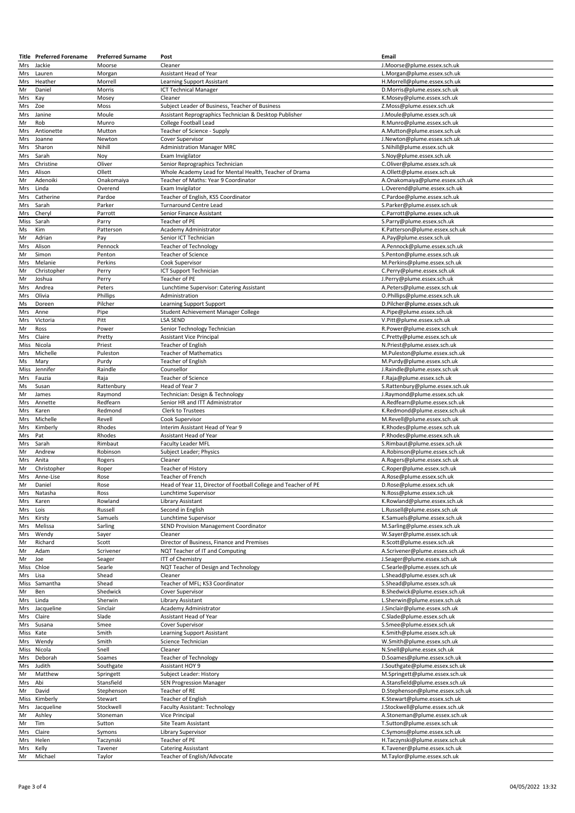|               | <b>Title</b> Preferred Forename | <b>Preferred Surname</b> | Post                                                            | Email                                                       |
|---------------|---------------------------------|--------------------------|-----------------------------------------------------------------|-------------------------------------------------------------|
| Mrs           | Jackie                          | Moorse                   | Cleaner                                                         | J.Moorse@plume.essex.sch.uk                                 |
| <b>Mrs</b>    | Lauren                          | Morgan                   | Assistant Head of Year                                          | L.Morgan@plume.essex.sch.uk                                 |
| Mrs           | Heather                         | Morrell                  | Learning Support Assistant                                      | H.Morrell@plume.essex.sch.uk                                |
| Mr            | Daniel                          | Morris                   | <b>ICT Technical Manager</b>                                    | D.Morris@plume.essex.sch.uk                                 |
| Mrs           | Kay                             | Mosey                    | Cleaner                                                         | K.Mosey@plume.essex.sch.uk                                  |
| Mrs           | Zoe                             | Moss                     | Subject Leader of Business, Teacher of Business                 | Z.Moss@plume.essex.sch.uk                                   |
| Mrs           | Janine                          | Moule                    | Assistant Reprographics Technician & Desktop Publisher          | J.Moule@plume.essex.sch.uk                                  |
| Mr            | Rob                             | Munro                    | College Football Lead                                           | R.Munro@plume.essex.sch.uk                                  |
| Mrs           | Antionette                      | Mutton                   | Teacher of Science - Supply                                     | A.Mutton@plume.essex.sch.uk                                 |
| Mrs           | Joanne                          | Newton                   | Cover Supervisor                                                | J.Newton@plume.essex.sch.uk                                 |
| Mrs           | Sharon                          | Nihill                   | <b>Administration Manager MRC</b>                               | S.Nihill@plume.essex.sch.uk                                 |
| Mrs<br>Mrs    | Sarah<br>Christine              | Nov<br>Oliver            | Exam Invigilator<br>Senior Reprographics Technician             | S.Noy@plume.essex.sch.uk<br>C.Oliver@plume.essex.sch.uk     |
| Mrs           | Alison                          | Ollett                   | Whole Academy Lead for Mental Health, Teacher of Drama          | A.Ollett@plume.essex.sch.uk                                 |
| Mr            | Adenoiki                        | Onakomaiya               | Teacher of Maths: Year 9 Coordinator                            | A.Onakomaiya@plume.essex.sch.uk                             |
| Mrs           | Linda                           | Overend                  | Exam Invigilator                                                | L.Overend@plume.essex.sch.uk                                |
| Mrs           | Catherine                       | Pardoe                   | Teacher of English, KS5 Coordinator                             | C.Pardoe@plume.essex.sch.uk                                 |
| Mrs           | Sarah                           | Parker                   | <b>Turnaround Centre Lead</b>                                   | S.Parker@plume.essex.sch.uk                                 |
| Mrs           | Cheryl                          | Parrott                  | Senior Finance Assistant                                        | C.Parrott@plume.essex.sch.uk                                |
| Miss          | Sarah                           | Parry                    | Teacher of PE                                                   | S.Parry@plume.essex.sch.uk                                  |
| Ms            | Kim                             | Patterson                | Academy Administrator                                           | K.Patterson@plume.essex.sch.uk                              |
| Mr            | Adrian                          | Pay                      | Senior ICT Technician                                           | A.Pay@plume.essex.sch.uk                                    |
| Mrs           | Alison                          | Pennock                  | <b>Teacher of Technology</b>                                    | A.Pennock@plume.essex.sch.uk                                |
| Mr            | Simon                           | Penton                   | Teacher of Science                                              | S.Penton@plume.essex.sch.uk                                 |
| Mrs           | Melanie                         | Perkins                  | Cook Supervisor                                                 | M.Perkins@plume.essex.sch.uk                                |
| Mr            | Christopher                     | Perry                    | ICT Support Technician                                          | C.Perry@plume.essex.sch.uk                                  |
| Mr            | Joshua                          | Perry                    | Teacher of PE                                                   | J.Perry@plume.essex.sch.uk                                  |
| Mrs           | Andrea                          | Peters                   | Lunchtime Supervisor: Catering Assistant                        | A.Peters@plume.essex.sch.uk                                 |
| Mrs           | Olivia                          | Phillips                 | Administration                                                  | O.Phillips@plume.essex.sch.uk                               |
| Ms            | Doreen                          | Pilcher                  | Learning Support Support                                        | D.Pilcher@plume.essex.sch.uk                                |
| Mrs           | Anne                            | Pipe                     | Student Achievement Manager College                             | A.Pipe@plume.essex.sch.uk                                   |
| Mrs           | Victoria                        | Pitt                     | <b>LSA SEND</b>                                                 | V.Pitt@plume.essex.sch.uk                                   |
| Mr            | Ross                            | Power                    | Senior Technology Technician                                    | R.Power@plume.essex.sch.uk                                  |
| Mrs           | Claire                          | Pretty                   | <b>Assistant Vice Principal</b>                                 | C.Pretty@plume.essex.sch.uk                                 |
| Miss          | Nicola                          | Priest                   | Teacher of English                                              | N.Priest@plume.essex.sch.uk                                 |
| Mrs           | Michelle                        | Puleston                 | <b>Teacher of Mathematics</b>                                   | M.Puleston@plume.essex.sch.uk                               |
| Ms            | Mary                            | Purdy                    | Teacher of English                                              | M.Purdy@plume.essex.sch.uk                                  |
| Miss          | Jennifer                        | Raindle                  | Counsellor                                                      | J.Raindle@plume.essex.sch.uk                                |
| Mrs           | Fauzia                          | Raja                     | Teacher of Science                                              | F.Raja@plume.essex.sch.uk                                   |
| $\mathsf{Ms}$ | Susan                           | Rattenbury               | Head of Year 7                                                  | S.Rattenbury@plume.essex.sch.uk                             |
| Mr            | James                           | Raymond                  | Technician: Design & Technology                                 | J.Raymond@plume.essex.sch.uk                                |
| Mrs           | Annette                         | Redfearn                 | Senior HR and ITT Administrator                                 | A.Redfearn@plume.essex.sch.uk                               |
| Mrs           | Karen                           | Redmond                  | Clerk to Trustees                                               | K.Redmond@plume.essex.sch.uk                                |
| Mrs           | Michelle                        | Revell                   | Cook Supervisor                                                 | M.Revell@plume.essex.sch.uk                                 |
|               |                                 |                          |                                                                 |                                                             |
| Mrs           | Kimberly                        | Rhodes                   | Interim Assistant Head of Year 9                                | K.Rhodes@plume.essex.sch.uk                                 |
| <b>Mrs</b>    | Pat                             | Rhodes                   | Assistant Head of Year                                          | P.Rhodes@plume.essex.sch.uk                                 |
| Mrs           | Sarah                           | Rimbaut                  | <b>Faculty Leader MFL</b>                                       | S.Rimbaut@plume.essex.sch.uk                                |
| Mr            | Andrew                          | Robinson                 | Subject Leader; Physics                                         | A.Robinson@plume.essex.sch.uk                               |
| Mrs           | Anita                           | Rogers                   | Cleaner                                                         | A.Rogers@plume.essex.sch.uk                                 |
| Mr            | Christopher                     | Roper                    | Teacher of History                                              | C.Roper@plume.essex.sch.uk                                  |
| Mrs           | Anne-Lise                       | Rose                     | Teacher of French                                               | A.Rose@plume.essex.sch.uk                                   |
| Mr            | Daniel                          | Rose                     | Head of Year 11, Director of Football College and Teacher of PE | D.Rose@plume.essex.sch.uk                                   |
| Mrs           | Natasha                         | Ross                     | Lunchtime Supervisor                                            | N.Ross@plume.essex.sch.uk                                   |
| Mrs           | Karen                           | Rowland                  | Library Assistant                                               | K.Rowland@plume.essex.sch.uk                                |
| Mrs           | Lois                            | Russell                  | Second in English                                               | L.Russell@plume.essex.sch.uk                                |
| Mrs           | Kirsty                          | Samuels                  | Lunchtime Supervisor                                            | K.Samuels@plume.essex.sch.uk                                |
| Mrs           | Melissa                         | Sarling                  | SEND Provision Management Coordinator                           | M.Sarling@plume.essex.sch.uk                                |
| Mrs<br>Mr     | Wendy<br>Richard                | Sayer<br>Scott           | Cleaner<br>Director of Business, Finance and Premises           | W.Sayer@plume.essex.sch.uk<br>R.Scott@plume.essex.sch.uk    |
| Mr            | Adam                            | Scrivener                | NQT Teacher of IT and Computing                                 | A.Scrivener@plume.essex.sch.uk                              |
| Mr            | Joe                             | Seager                   | <b>ITT of Chemistry</b>                                         | J.Seager@plume.essex.sch.uk                                 |
| Miss          | Chloe                           | Searle                   | NQT Teacher of Design and Technology                            | C.Searle@plume.essex.sch.uk                                 |
| Mrs           | Lisa                            | Shead                    | Cleaner                                                         | L.Shead@plume.essex.sch.uk                                  |
| Miss          | Samantha                        | Shead                    | Teacher of MFL; KS3 Coordinator                                 | S.Shead@plume.essex.sch.uk                                  |
| Mr            | Ben                             | Shedwick                 | Cover Supervisor                                                | B.Shedwick@plume.essex.sch.uk                               |
| Mrs           | Linda                           | Sherwin                  | Library Assistant                                               | L.Sherwin@plume.essex.sch.uk                                |
| Mrs           | Jacqueline                      | Sinclair                 | Academy Administrator                                           | J.Sinclair@plume.essex.sch.uk                               |
| Mrs           | Claire                          | Slade                    | Assistant Head of Year                                          | C.Slade@plume.essex.sch.uk                                  |
| Mrs           | Susana                          | Smee                     | Cover Supervisor                                                | S.Smee@plume.essex.sch.uk                                   |
| Miss          | Kate                            | Smith                    | Learning Support Assistant                                      | K.Smith@plume.essex.sch.uk                                  |
| Mrs           | Wendy                           | Smith                    | Science Technician                                              | W.Smith@plume.essex.sch.uk                                  |
|               | Miss Nicola                     | Snell                    | Cleaner                                                         | N.Snell@plume.essex.sch.uk                                  |
| Mrs           | Deborah                         | Soames                   | <b>Teacher of Technology</b>                                    | D.Soames@plume.essex.sch.uk                                 |
| Mrs           | Judith                          | Southgate                | Assistant HOY 9                                                 | J.Southgate@plume.essex.sch.uk                              |
| Mr            | Matthew                         | Springett                | Subject Leader: History                                         | M.Springett@plume.essex.sch.uk                              |
| Mrs           | Abi                             | Stansfield               | <b>SEN Progression Manager</b>                                  | A.Stansfield@plume.essex.sch.uk                             |
| Mr            | David                           | Stephenson               | Teacher of RE                                                   | D.Stephenson@plume.essex.sch.uk                             |
| Miss          | Kimberly                        | Stewart                  | Teacher of English                                              | K.Stewart@plume.essex.sch.uk                                |
| Mrs           | Jacqueline                      | Stockwell                | Faculty Assistant: Technology                                   | J.Stockwell@plume.essex.sch.uk                              |
| Mr            | Ashley                          | Stoneman                 | Vice Principal                                                  | A.Stoneman@plume.essex.sch.uk                               |
| Mr            | Tim                             | Sutton                   | Site Team Assistant                                             | T.Sutton@plume.essex.sch.uk                                 |
| Mrs           | Claire                          | Symons                   | <b>Library Supervisor</b>                                       | C.Symons@plume.essex.sch.uk                                 |
| Mrs           | Helen                           | Taczynski                | Teacher of PE                                                   | H.Taczynski@plume.essex.sch.uk                              |
| Mrs<br>Mr     | Kelly<br>Michael                | Tavener                  | <b>Catering Assisstant</b><br>Teacher of English/Advocate       | K.Tavener@plume.essex.sch.uk<br>M.Taylor@plume.essex.sch.uk |